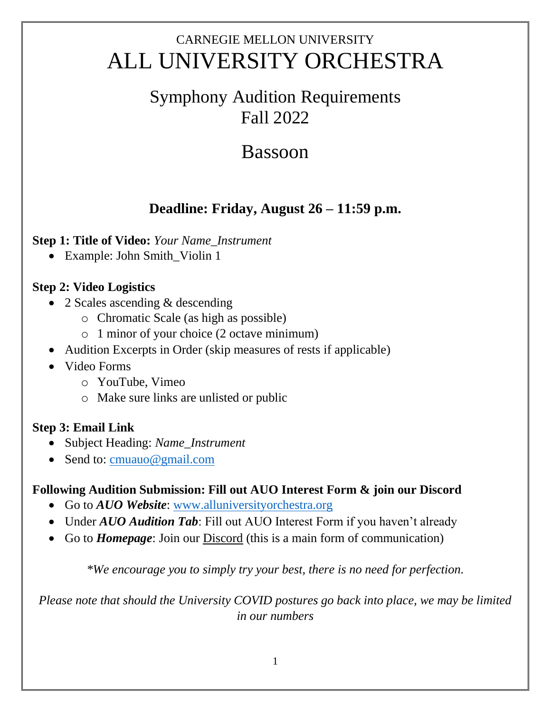# CARNEGIE MELLON UNIVERSITY ALL UNIVERSITY ORCHESTRA

### Symphony Audition Requirements Fall 2022

## Bassoon

### **Deadline: Friday, August 26 – 11:59 p.m.**

#### **Step 1: Title of Video:** *Your Name\_Instrument*

• Example: John Smith\_Violin 1

#### **Step 2: Video Logistics**

- 2 Scales ascending & descending
	- o Chromatic Scale (as high as possible)
	- o 1 minor of your choice (2 octave minimum)
- Audition Excerpts in Order (skip measures of rests if applicable)
- Video Forms
	- o YouTube, Vimeo
	- o Make sure links are unlisted or public

#### **Step 3: Email Link**

- Subject Heading: *Name\_Instrument*
- Send to: [cmuauo@gmail.com](mailto:cmuauo@gmail.com)

#### **Following Audition Submission: Fill out AUO Interest Form & join our Discord**

- Go to *AUO Website*: [www.alluniversityorchestra.org](http://www.alluniversityorchestra.org/)
- Under *AUO Audition Tab*: Fill out AUO Interest Form if you haven't already
- Go to *Homepage*: Join our Discord (this is a main form of communication)

*\*We encourage you to simply try your best, there is no need for perfection.*

*Please note that should the University COVID postures go back into place, we may be limited in our numbers*